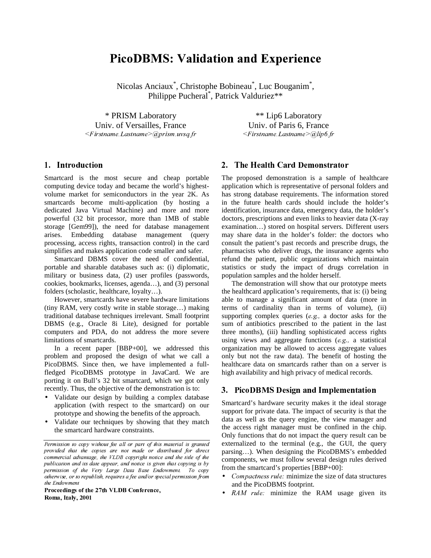# **PicoDBMS: Validation and Experience**

Nicolas Anciaux<sup>\*</sup>, Christophe Bobineau<sup>\*</sup>, Luc Bouganim<sup>\*</sup>, Philippe Pucheral<sup>\*</sup>, Patrick Valduriez\*\*

\* PRISM Laboratory Univ. of Versailles, France  $\blacksquare$  . The state of the state of the state of the state of the state of the state of the state of the state of the state of the state of the state of the state of the state of the state of the state of the state of the

\*\* Lip6 Laboratory Univ. of Paris 6, France  $\leq$ Firstname. Lastname $\geq$  @lin6 fr

# 1. Introduction

Smartcard is the most secure and cheap portable computing device today and became the world's highestvolume market for semiconductors in the year 2K. As smartcards become multi-application (by hosting a dedicated Java Virtual Machine) and more and more powerful (32 bit processor, more than 1MB of stable storage [Gem99]), the need for database management arises. Embedding database management (query processing, access rights, transaction control) in the card simplifies and makes application code smaller and safer.

Smartcard DBMS cover the need of confidential, portable and sharable databases such as: (i) diplomatic, military or business data, (2) user profiles (passwords, cookies, bookmarks, licenses, agenda…), and (3) personal folders (scholastic, healthcare, loyalty…).

However, smartcards have severe hardware limitations (tiny RAM, very costly write in stable storage…) making traditional database techniques irrelevant. Small footprint DBMS (e.g., Oracle 8i Lite), designed for portable computers and PDA, do not address the more severe limitations of smartcards.

In a recent paper [BBP+00], we addressed this problem and proposed the design of what we call a PicoDBMS. Since then, we have implemented a fullfledged PicoDBMS prototype in JavaCard. We are porting it on Bull's 32 bit smartcard, which we got only recently. Thus, the objective of the demonstration is to:

- Validate our design by building a complex database application (with respect to the smartcard) on our prototype and showing the benefits of the approach.
- Validate our techniques by showing that they match the smartcard hardware constraints.

Proceedings of the 27th VLDB Conference, Roma, Italy, 2001

## 2. The Health Card Demonstrator

The proposed demonstration is a sample of healthcare application which is representative of personal folders and has strong database requirements. The information stored in the future health cards should include the holder's identification, insurance data, emergency data, the holder's doctors, prescriptions and even links to heavier data (X-ray examination…) stored on hospital servers. Different users may share data in the holder's folder: the doctors who consult the patient's past records and prescribe drugs, the pharmacists who deliver drugs, the insurance agents who refund the patient, public organizations which maintain statistics or study the impact of drugs correlation in population samples and the holder herself.

The demonstration will show that our prototype meets the healthcard application's requirements, that is: (i) being able to manage a significant amount of data (more in terms of cardinality than in terms of volume), (ii) supporting complex queries  $(e, g, a$  doctor asks for the sum of antibiotics prescribed to the patient in the last three months), (iii) handling sophisticated access rights using views and aggregate functions  $(e.g., a statistical)$ organization may be allowed to access aggregate values only but not the raw data). The benefit of hosting the healthcare data on smartcards rather than on a server is high availability and high privacy of medical records.

### 3. PicoDBMS Design and Implementation

Smartcard's hardware security makes it the ideal storage support for private data. The impact of security is that the data as well as the query engine, the view manager and the access right manager must be confined in the chip. Only functions that do not impact the query result can be externalized to the terminal (e.g., the GUI, the query parsing…). When designing the PicoDBMS's embedded components, we must follow several design rules derived from the smartcard's properties [BBP+00]:

- *Compactness rule:* minimize the size of data structures and the PicoDBMS footprint.
- $RAM$  rule. minimize the RAM usage given its

Permission to copy without fee all or part of this material is granted provided that the copies are not made or distributed for direct commercial advantage, the VLDB copyright notice and the title of the F´Lij·¥«M¶©¥§¨¶L¨L»¥©¦-»L¶©¡¶ÎJ¡¼¶³¢ÎÆÏ¶L¨»)¨§L©Ì¥«¼¡;¥¦º-¥½8¡¼¨©²L¶©\$«8§Ð®Ñ¥¨º¥¦Äή permission of the Very Large Data Base Endowment. To copy otherwise, or to republish, requires a fee and/or special permission from the Endowment